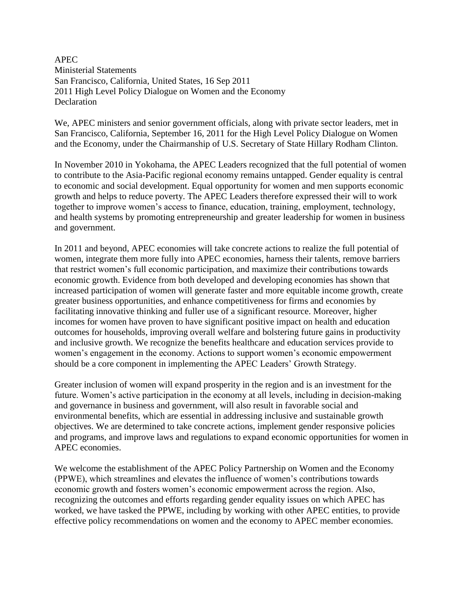APEC Ministerial Statements San Francisco, California, United States, 16 Sep 2011 2011 High Level Policy Dialogue on Women and the Economy Declaration

We, APEC ministers and senior government officials, along with private sector leaders, met in San Francisco, California, September 16, 2011 for the High Level Policy Dialogue on Women and the Economy, under the Chairmanship of U.S. Secretary of State Hillary Rodham Clinton.

In November 2010 in Yokohama, the APEC Leaders recognized that the full potential of women to contribute to the Asia-Pacific regional economy remains untapped. Gender equality is central to economic and social development. Equal opportunity for women and men supports economic growth and helps to reduce poverty. The APEC Leaders therefore expressed their will to work together to improve women's access to finance, education, training, employment, technology, and health systems by promoting entrepreneurship and greater leadership for women in business and government.

In 2011 and beyond, APEC economies will take concrete actions to realize the full potential of women, integrate them more fully into APEC economies, harness their talents, remove barriers that restrict women's full economic participation, and maximize their contributions towards economic growth. Evidence from both developed and developing economies has shown that increased participation of women will generate faster and more equitable income growth, create greater business opportunities, and enhance competitiveness for firms and economies by facilitating innovative thinking and fuller use of a significant resource. Moreover, higher incomes for women have proven to have significant positive impact on health and education outcomes for households, improving overall welfare and bolstering future gains in productivity and inclusive growth. We recognize the benefits healthcare and education services provide to women's engagement in the economy. Actions to support women's economic empowerment should be a core component in implementing the APEC Leaders' Growth Strategy.

Greater inclusion of women will expand prosperity in the region and is an investment for the future. Women's active participation in the economy at all levels, including in decision-making and governance in business and government, will also result in favorable social and environmental benefits, which are essential in addressing inclusive and sustainable growth objectives. We are determined to take concrete actions, implement gender responsive policies and programs, and improve laws and regulations to expand economic opportunities for women in APEC economies.

We welcome the establishment of the APEC Policy Partnership on Women and the Economy (PPWE), which streamlines and elevates the influence of women's contributions towards economic growth and fosters women's economic empowerment across the region. Also, recognizing the outcomes and efforts regarding gender equality issues on which APEC has worked, we have tasked the PPWE, including by working with other APEC entities, to provide effective policy recommendations on women and the economy to APEC member economies.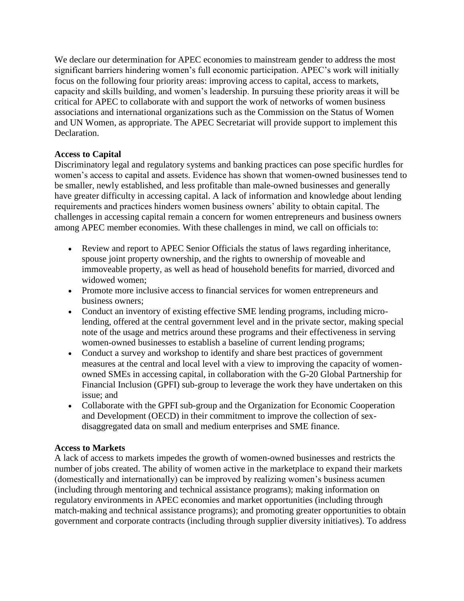We declare our determination for APEC economies to mainstream gender to address the most significant barriers hindering women's full economic participation. APEC's work will initially focus on the following four priority areas: improving access to capital, access to markets, capacity and skills building, and women's leadership. In pursuing these priority areas it will be critical for APEC to collaborate with and support the work of networks of women business associations and international organizations such as the Commission on the Status of Women and UN Women, as appropriate. The APEC Secretariat will provide support to implement this Declaration.

## **Access to Capital**

Discriminatory legal and regulatory systems and banking practices can pose specific hurdles for women's access to capital and assets. Evidence has shown that women-owned businesses tend to be smaller, newly established, and less profitable than male-owned businesses and generally have greater difficulty in accessing capital. A lack of information and knowledge about lending requirements and practices hinders women business owners' ability to obtain capital. The challenges in accessing capital remain a concern for women entrepreneurs and business owners among APEC member economies. With these challenges in mind, we call on officials to:

- Review and report to APEC Senior Officials the status of laws regarding inheritance, spouse joint property ownership, and the rights to ownership of moveable and immoveable property, as well as head of household benefits for married, divorced and widowed women;
- Promote more inclusive access to financial services for women entrepreneurs and business owners;
- Conduct an inventory of existing effective SME lending programs, including microlending, offered at the central government level and in the private sector, making special note of the usage and metrics around these programs and their effectiveness in serving women-owned businesses to establish a baseline of current lending programs;
- Conduct a survey and workshop to identify and share best practices of government measures at the central and local level with a view to improving the capacity of womenowned SMEs in accessing capital, in collaboration with the G-20 Global Partnership for Financial Inclusion (GPFI) sub-group to leverage the work they have undertaken on this issue; and
- Collaborate with the GPFI sub-group and the Organization for Economic Cooperation and Development (OECD) in their commitment to improve the collection of sexdisaggregated data on small and medium enterprises and SME finance.

#### **Access to Markets**

A lack of access to markets impedes the growth of women-owned businesses and restricts the number of jobs created. The ability of women active in the marketplace to expand their markets (domestically and internationally) can be improved by realizing women's business acumen (including through mentoring and technical assistance programs); making information on regulatory environments in APEC economies and market opportunities (including through match-making and technical assistance programs); and promoting greater opportunities to obtain government and corporate contracts (including through supplier diversity initiatives). To address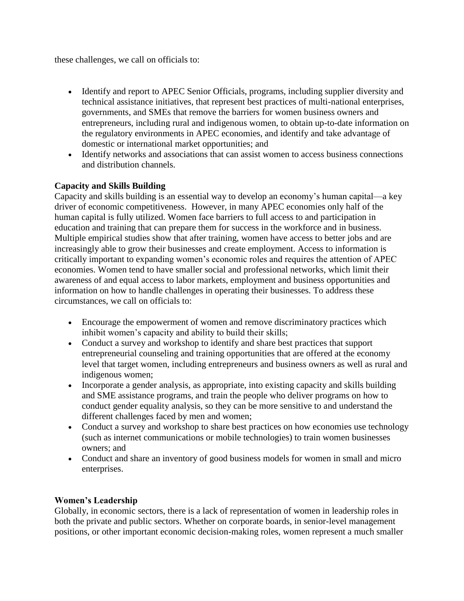these challenges, we call on officials to:

- Identify and report to APEC Senior Officials, programs, including supplier diversity and technical assistance initiatives, that represent best practices of multi-national enterprises, governments, and SMEs that remove the barriers for women business owners and entrepreneurs, including rural and indigenous women, to obtain up-to-date information on the regulatory environments in APEC economies, and identify and take advantage of domestic or international market opportunities; and
- Identify networks and associations that can assist women to access business connections and distribution channels.

# **Capacity and Skills Building**

Capacity and skills building is an essential way to develop an economy's human capital—a key driver of economic competitiveness. However, in many APEC economies only half of the human capital is fully utilized. Women face barriers to full access to and participation in education and training that can prepare them for success in the workforce and in business. Multiple empirical studies show that after training, women have access to better jobs and are increasingly able to grow their businesses and create employment. Access to information is critically important to expanding women's economic roles and requires the attention of APEC economies. Women tend to have smaller social and professional networks, which limit their awareness of and equal access to labor markets, employment and business opportunities and information on how to handle challenges in operating their businesses. To address these circumstances, we call on officials to:

- Encourage the empowerment of women and remove discriminatory practices which inhibit women's capacity and ability to build their skills;
- Conduct a survey and workshop to identify and share best practices that support entrepreneurial counseling and training opportunities that are offered at the economy level that target women, including entrepreneurs and business owners as well as rural and indigenous women;
- Incorporate a gender analysis, as appropriate, into existing capacity and skills building and SME assistance programs, and train the people who deliver programs on how to conduct gender equality analysis, so they can be more sensitive to and understand the different challenges faced by men and women;
- Conduct a survey and workshop to share best practices on how economies use technology (such as internet communications or mobile technologies) to train women businesses owners; and
- Conduct and share an inventory of good business models for women in small and micro enterprises.

## **Women's Leadership**

Globally, in economic sectors, there is a lack of representation of women in leadership roles in both the private and public sectors. Whether on corporate boards, in senior-level management positions, or other important economic decision-making roles, women represent a much smaller